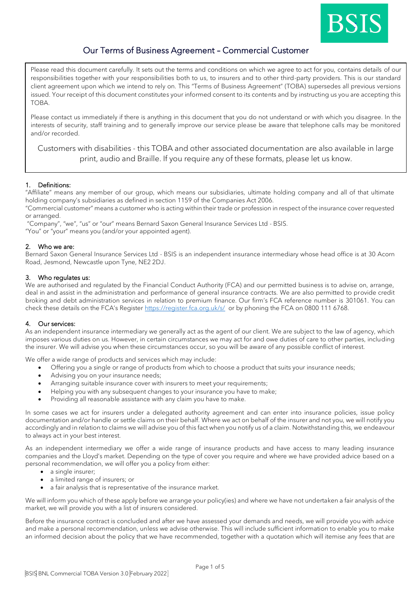

# Our Terms of Business Agreement – Commercial Customer

Please read this document carefully. It sets out the terms and conditions on which we agree to act for you, contains details of our responsibilities together with your responsibilities both to us, to insurers and to other third-party providers. This is our standard client agreement upon which we intend to rely on. This "Terms of Business Agreement" (TOBA) supersedes all previous versions issued. Your receipt of this document constitutes your informed consent to its contents and by instructing us you are accepting this TOBA.

Please contact us immediately if there is anything in this document that you do not understand or with which you disagree. In the interests of security, staff training and to generally improve our service please be aware that telephone calls may be monitored and/or recorded.

Customers with disabilities - this TOBA and other associated documentation are also available in large print, audio and Braille. If you require any of these formats, please let us know.

# 1. Definitions:

"Affiliate" means any member of our group, which means our subsidiaries, ultimate holding company and all of that ultimate holding company's subsidiaries as defined in section 1159 of the Companies Act 2006.

"Commercial customer" means a customer who is acting within their trade or profession in respect of the insurance cover requested or arranged.

"Company", "we", "us" or "our" means Bernard Saxon General Insurance Services Ltd - BSIS.

"You" or "your" means you (and/or your appointed agent).

# 2. Who we are:

Bernard Saxon General Insurance Services Ltd - BSIS is an independent insurance intermediary whose head office is at 30 Acorn Road, Jesmond, Newcastle upon Tyne, NE2 2DJ.

# 3. Who regulates us:

We are authorised and regulated by the Financial Conduct Authority (FCA) and our permitted business is to advise on, arrange, deal in and assist in the administration and performance of general insurance contracts. We are also permitted to provide credit broking and debt administration services in relation to premium finance. Our firm's FCA reference number is 301061. You can check these details on the FCA's Register <https://register.fca.org.uk/s/>or by phoning the FCA on 0800 111 6768.

# 4. Our services:

As an independent insurance intermediary we generally act as the agent of our client. We are subject to the law of agency, which imposes various duties on us. However, in certain circumstances we may act for and owe duties of care to other parties, including the insurer. We will advise you when these circumstances occur, so you will be aware of any possible conflict of interest.

We offer a wide range of products and services which may include:

- Offering you a single or range of products from which to choose a product that suits your insurance needs;
- Advising you on your insurance needs;
- Arranging suitable insurance cover with insurers to meet your requirements;
- Helping you with any subsequent changes to your insurance you have to make;
- Providing all reasonable assistance with any claim you have to make.

In some cases we act for insurers under a delegated authority agreement and can enter into insurance policies, issue policy documentation and/or handle or settle claims on their behalf. Where we act on behalf of the insurer and not you, we will notify you accordingly and in relation to claims we will advise you of this fact when you notify us of a claim. Notwithstanding this, we endeavour to always act in your best interest.

As an independent intermediary we offer a wide range of insurance products and have access to many leading insurance companies and the Lloyd's market. Depending on the type of cover you require and where we have provided advice based on a personal recommendation, we will offer you a policy from either:

- a single insurer;
- a limited range of insurers; or
- a fair analysis that is representative of the insurance market.

We will inform you which of these apply before we arrange your policy(ies) and where we have not undertaken a fair analysis of the market, we will provide you with a list of insurers considered.

Before the insurance contract is concluded and after we have assessed your demands and needs, we will provide you with advice and make a personal recommendation, unless we advise otherwise. This will include sufficient information to enable you to make an informed decision about the policy that we have recommended, together with a quotation which will itemise any fees that are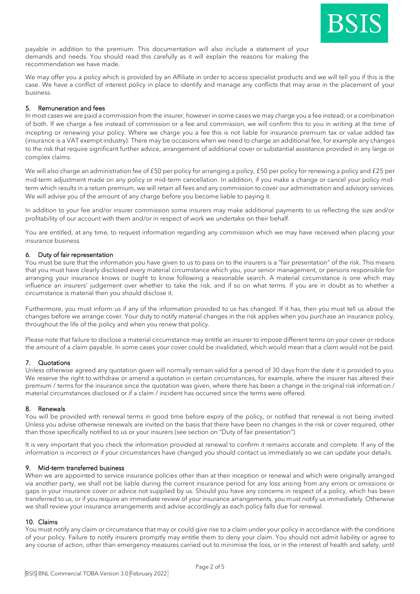

payable in addition to the premium. This documentation will also include a statement of your demands and needs. You should read this carefully as it will explain the reasons for making the recommendation we have made.

We may offer you a policy which is provided by an Affiliate in order to access specialist products and we will tell you if this is the case. We have a conflict of interest policy in place to identify and manage any conflicts that may arise in the placement of your business.

# 5. Remuneration and fees

In most cases we are paid a commission from the insurer, however in some cases we may charge you a fee instead, or a combination of both. If we charge a fee instead of commission or a fee and commission, we will confirm this to you in writing at the time of incepting or renewing your policy. Where we charge you a fee this is not liable for insurance premium tax or value added tax (insurance is a VAT exempt industry). There may be occasions when we need to charge an additional fee, for example any changes to the risk that require significant further advice, arrangement of additional cover or substantial assistance provided in any large or complex claims.

We will also charge an administration fee of £50 per policy for arranging a policy, £50 per policy for renewing a policy and £25 per mid-term adjustment made on any policy or mid-term cancellation. In addition, if you make a change or cancel your policy midterm which results in a return premium, we will retain all fees and any commission to cover our administration and advisory services. We will advise you of the amount of any charge before you become liable to paying it.

In addition to your fee and/or insurer commission some insurers may make additional payments to us reflecting the size and/or profitability of our account with them and/or in respect of work we undertake on their behalf.

You are entitled, at any time, to request information regarding any commission which we may have received when placing your insurance business.

# 6. Duty of fair representation

You must be sure that the information you have given to us to pass on to the insurers is a "fair presentation" of the risk. This means that you must have clearly disclosed every material circumstance which you, your senior management, or persons responsible for arranging your insurance knows or ought to know following a reasonable search. A material circumstance is one which may influence an insurers' judgement over whether to take the risk, and if so on what terms. If you are in doubt as to whether a circumstance is material then you should disclose it.

Furthermore, you must inform us if any of the information provided to us has changed. If it has, then you must tell us about the changes before we arrange cover. Your duty to notify material changes in the risk applies when you purchase an insurance policy, throughout the life of the policy and when you renew that policy.

Please note that failure to disclose a material circumstance may entitle an insurer to impose different terms on your cover or reduce the amount of a claim payable. In some cases your cover could be invalidated, which would mean that a claim would not be paid.

# 7. Quotations

Unless otherwise agreed any quotation given will normally remain valid for a period of 30 days from the date it is provided to you. We reserve the right to withdraw or amend a quotation in certain circumstances, for example, where the insurer has altered their premium / terms for the insurance since the quotation was given, where there has been a change in the original risk information / material circumstances disclosed or if a claim / incident has occurred since the terms were offered.

# 8. Renewals

You will be provided with renewal terms in good time before expiry of the policy, or notified that renewal is not being invited. Unless you advise otherwise renewals are invited on the basis that there have been no changes in the risk or cover required, other than those specifically notified to us or your insurers (see section on "Duty of fair presentation").

It is very important that you check the information provided at renewal to confirm it remains accurate and complete. If any of the information is incorrect or if your circumstances have changed you should contact us immediately so we can update your details.

# 9. Mid-term transferred business

When we are appointed to service insurance policies other than at their inception or renewal and which were originally arranged via another party, we shall not be liable during the current insurance period for any loss arising from any errors or omissions or gaps in your insurance cover or advice not supplied by us. Should you have any concerns in respect of a policy, which has been transferred to us, or if you require an immediate review of your insurance arrangements, you must notify us immediately. Otherwise we shall review your insurance arrangements and advise accordingly as each policy falls due for renewal.

# 10. Claims

You must notify any claim or circumstance that may or could give rise to a claim under your policy in accordance with the conditions of your policy. Failure to notify insurers promptly may entitle them to deny your claim. You should not admit liability or agree to any course of action, other than emergency measures carried out to minimise the loss, or in the interest of health and safety, until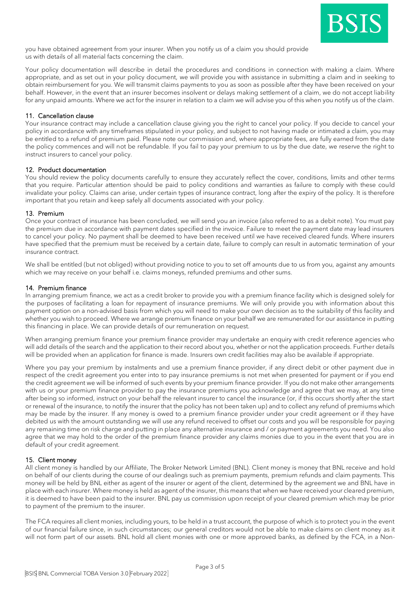

you have obtained agreement from your insurer. When you notify us of a claim you should provide us with details of all material facts concerning the claim.

Your policy documentation will describe in detail the procedures and conditions in connection with making a claim. Where appropriate, and as set out in your policy document, we will provide you with assistance in submitting a claim and in seeking to obtain reimbursement for you. We will transmit claims payments to you as soon as possible after they have been received on your behalf. However, in the event that an insurer becomes insolvent or delays making settlement of a claim, we do not accept liability for any unpaid amounts. Where we act for the insurer in relation to a claim we will advise you of this when you notify us of the claim.

# 11. Cancellation clause

Your insurance contract may include a cancellation clause giving you the right to cancel your policy. If you decide to cancel your policy in accordance with any timeframes stipulated in your policy, and subject to not having made or intimated a claim, you may be entitled to a refund of premium paid. Please note our commission and, where appropriate fees, are fully earned from the date the policy commences and will not be refundable. If you fail to pay your premium to us by the due date, we reserve the right to instruct insurers to cancel your policy.

# 12. Product documentation

You should review the policy documents carefully to ensure they accurately reflect the cover, conditions, limits and other terms that you require. Particular attention should be paid to policy conditions and warranties as failure to comply with these could invalidate your policy. Claims can arise, under certain types of insurance contract, long after the expiry of the policy. It is therefore important that you retain and keep safely all documents associated with your policy.

#### 13. Premium

Once your contract of insurance has been concluded, we will send you an invoice (also referred to as a debit note). You must pay the premium due in accordance with payment dates specified in the invoice. Failure to meet the payment date may lead insurers to cancel your policy. No payment shall be deemed to have been received until we have received cleared funds. Where insurers have specified that the premium must be received by a certain date, failure to comply can result in automatic termination of your insurance contract.

We shall be entitled (but not obliged) without providing notice to you to set off amounts due to us from you, against any amounts which we may receive on your behalf i.e. claims moneys, refunded premiums and other sums.

#### 14. Premium finance

In arranging premium finance, we act as a credit broker to provide you with a premium finance facility which is designed solely for the purposes of facilitating a loan for repayment of insurance premiums. We will only provide you with information about this payment option on a non-advised basis from which you will need to make your own decision as to the suitability of this facility and whether you wish to proceed. Where we arrange premium finance on your behalf we are remunerated for our assistance in putting this financing in place. We can provide details of our remuneration on request.

When arranging premium finance your premium finance provider may undertake an enquiry with credit reference agencies who will add details of the search and the application to their record about you, whether or not the application proceeds. Further details will be provided when an application for finance is made. Insurers own credit facilities may also be available if appropriate.

Where you pay your premium by instalments and use a premium finance provider, if any direct debit or other payment due in respect of the credit agreement you enter into to pay insurance premiums is not met when presented for payment or if you end the credit agreement we will be informed of such events by your premium finance provider. If you do not make other arrangements with us or your premium finance provider to pay the insurance premiums you acknowledge and agree that we may, at any time after being so informed, instruct on your behalf the relevant insurer to cancel the insurance (or, if this occurs shortly after the start or renewal of the insurance, to notify the insurer that the policy has not been taken up) and to collect any refund of premiums which may be made by the insurer. If any money is owed to a premium finance provider under your credit agreement or if they have debited us with the amount outstanding we will use any refund received to offset our costs and you will be responsible for paying any remaining time on risk charge and putting in place any alternative insurance and / or payment agreements you need. You also agree that we may hold to the order of the premium finance provider any claims monies due to you in the event that you are in default of your credit agreement.

# 15. Client money

All client money is handled by our Affiliate, The Broker Network Limited (BNL). Client money is money that BNL receive and hold on behalf of our clients during the course of our dealings such as premium payments, premium refunds and claim payments. This money will be held by BNL either as agent of the insurer or agent of the client, determined by the agreement we and BNL have in place with each insurer. Where money is held as agent of the insurer, this means that when we have received your cleared premium, it is deemed to have been paid to the insurer. BNL pay us commission upon receipt of your cleared premium which may be prior to payment of the premium to the insurer.

The FCA requires all client monies, including yours, to be held in a trust account, the purpose of which is to protect you in the event of our financial failure since, in such circumstances; our general creditors would not be able to make claims on client money as it will not form part of our assets. BNL hold all client monies with one or more approved banks, as defined by the FCA, in a Non-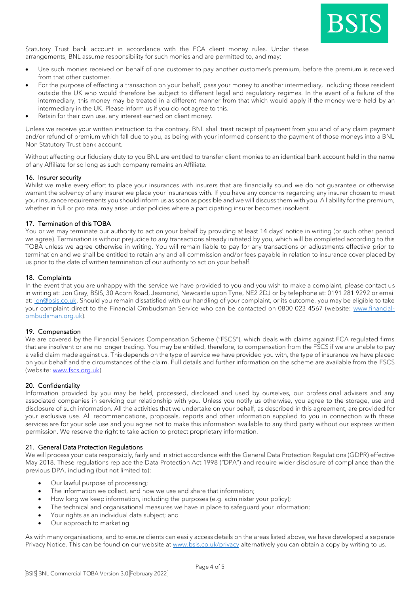

Statutory Trust bank account in accordance with the FCA client money rules. Under these arrangements, BNL assume responsibility for such monies and are permitted to, and may:

- Use such monies received on behalf of one customer to pay another customer's premium, before the premium is received from that other customer.
- For the purpose of effecting a transaction on your behalf, pass your money to another intermediary, including those resident outside the UK who would therefore be subject to different legal and regulatory regimes. In the event of a failure of the intermediary, this money may be treated in a different manner from that which would apply if the money were held by an intermediary in the UK. Please inform us if you do not agree to this.
- Retain for their own use, any interest earned on client money.

Unless we receive your written instruction to the contrary, BNL shall treat receipt of payment from you and of any claim payment and/or refund of premium which fall due to you, as being with your informed consent to the payment of those moneys into a BNL Non Statutory Trust bank account.

Without affecting our fiduciary duty to you BNL are entitled to transfer client monies to an identical bank account held in the name of any Affiliate for so long as such company remains an Affiliate.

# 16. Insurer security

Whilst we make every effort to place your insurances with insurers that are financially sound we do not guarantee or otherwise warrant the solvency of any insurer we place your insurances with. If you have any concerns regarding any insurer chosen to meet your insurance requirements you should inform us as soon as possible and we will discuss them with you. A liability for the premium, whether in full or pro rata, may arise under policies where a participating insurer becomes insolvent.

# 17. Termination of this TOBA

You or we may terminate our authority to act on your behalf by providing at least 14 days' notice in writing (or such other period we agree). Termination is without prejudice to any transactions already initiated by you, which will be completed according to this TOBA unless we agree otherwise in writing. You will remain liable to pay for any transactions or adjustments effective prior to termination and we shall be entitled to retain any and all commission and/or fees payable in relation to insurance cover placed by us prior to the date of written termination of our authority to act on your behalf.

# 18. Complaints

In the event that you are unhappy with the service we have provided to you and you wish to make a complaint, please contact us in writing at: Jon Gray, BSIS, 30 Acorn Road, Jesmond, Newcastle upon Tyne, NE2 2DJ or by telephone at: 0191 281 9292 or email at[: jon@bsis.co.uk.](mailto:jon@bsis.co.uk) Should you remain dissatisfied with our handling of your complaint, or its outcome, you may be eligible to take your complaint direct to the Financial Ombudsman Service who can be contacted on 0800 023 4567 (website: [www.financial](http://www.financial-ombudsman.org.uk/)[ombudsman.org.uk\)](http://www.financial-ombudsman.org.uk/).

#### 19. Compensation

We are covered by the Financial Services Compensation Scheme ("FSCS"), which deals with claims against FCA regulated firms that are insolvent or are no longer trading. You may be entitled, therefore, to compensation from the FSCS if we are unable to pay a valid claim made against us. This depends on the type of service we have provided you with, the type of insurance we have placed on your behalf and the circumstances of the claim. Full details and further information on the scheme are available from the FSCS (website: [www.fscs.org.uk\)](http://www.fscs.org.uk/).

#### 20. Confidentiality

Information provided by you may be held, processed, disclosed and used by ourselves, our professional advisers and any associated companies in servicing our relationship with you. Unless you notify us otherwise, you agree to the storage, use and disclosure of such information. All the activities that we undertake on your behalf, as described in this agreement, are provided for your exclusive use. All recommendations, proposals, reports and other information supplied to you in connection with these services are for your sole use and you agree not to make this information available to any third party without our express written permission. We reserve the right to take action to protect proprietary information.

#### 21. General Data Protection Regulations

We will process your data responsibly, fairly and in strict accordance with the General Data Protection Regulations (GDPR) effective May 2018. These regulations replace the Data Protection Act 1998 ("DPA") and require wider disclosure of compliance than the previous DPA, including (but not limited to):

- Our lawful purpose of processing;
- The information we collect, and how we use and share that information;
- How long we keep information, including the purposes (e.g. administer your policy);
- The technical and organisational measures we have in place to safeguard your information;
- Your rights as an individual data subject; and
- Our approach to marketing

As with many organisations, and to ensure clients can easily access details on the areas listed above, we have developed a separate Privacy Notice. This can be found on our website at [www.bsis.co.uk/privacy](http://www.bsis.co.uk/privacy) alternatively you can obtain a copy by writing to us.